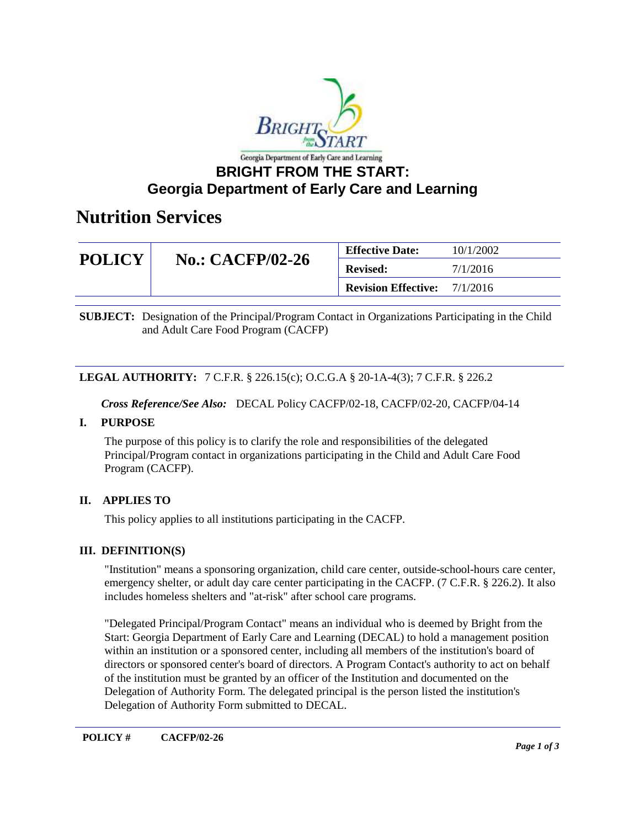

## **Georgia Department of Early Care and Learning**

# **Nutrition Services**

| <b>POLICY</b> | <b>No.: CACFP/02-26</b> | <b>Effective Date:</b>     | 10/1/2002 |
|---------------|-------------------------|----------------------------|-----------|
|               |                         | <b>Revised:</b>            | 7/1/2016  |
|               |                         | <b>Revision Effective:</b> | 7/1/2016  |

**SUBJECT:** Designation of the Principal/Program Contact in Organizations Participating in the Child and Adult Care Food Program (CACFP)

#### **LEGAL AUTHORITY:** 7 C.F.R. § 226.15(c); O.C.G.A § 20-1A-4(3); 7 C.F.R. § 226.2

*Cross Reference/See Also:* DECAL Policy CACFP/02-18, CACFP/02-20, CACFP/04-14

#### **I. PURPOSE**

The purpose of this policy is to clarify the role and responsibilities of the delegated Principal/Program contact in organizations participating in the Child and Adult Care Food Program (CACFP).

### **II. APPLIES TO**

This policy applies to all institutions participating in the CACFP.

### **III. DEFINITION(S)**

"Institution" means a sponsoring organization, child care center, outside-school-hours care center, emergency shelter, or adult day care center participating in the CACFP. (7 C.F.R. § 226.2). It also includes homeless shelters and "at-risk" after school care programs.

"Delegated Principal/Program Contact" means an individual who is deemed by Bright from the Start: Georgia Department of Early Care and Learning (DECAL) to hold a management position within an institution or a sponsored center, including all members of the institution's board of directors or sponsored center's board of directors. A Program Contact's authority to act on behalf of the institution must be granted by an officer of the Institution and documented on the Delegation of Authority Form. The delegated principal is the person listed the institution's Delegation of Authority Form submitted to DECAL.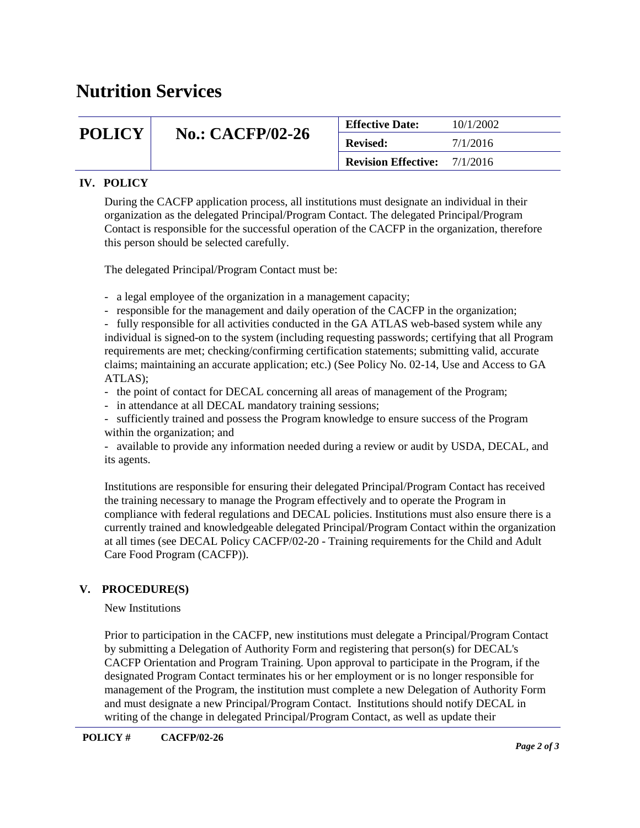# **Nutrition Services**

| <b>POLICY</b> | <b>No.: CACFP/02-26</b> | <b>Effective Date:</b>              | 10/1/2002 |
|---------------|-------------------------|-------------------------------------|-----------|
|               |                         | <b>Revised:</b>                     | 7/1/2016  |
|               |                         | <b>Revision Effective:</b> 7/1/2016 |           |

### **IV. POLICY**

During the CACFP application process, all institutions must designate an individual in their organization as the delegated Principal/Program Contact. The delegated Principal/Program Contact is responsible for the successful operation of the CACFP in the organization, therefore this person should be selected carefully.

The delegated Principal/Program Contact must be:

- a legal employee of the organization in a management capacity;
- responsible for the management and daily operation of the CACFP in the organization;

- fully responsible for all activities conducted in the GA ATLAS web-based system while any individual is signed-on to the system (including requesting passwords; certifying that all Program requirements are met; checking/confirming certification statements; submitting valid, accurate claims; maintaining an accurate application; etc.) (See Policy No. 02-14, Use and Access to GA ATLAS);

- the point of contact for DECAL concerning all areas of management of the Program;
- in attendance at all DECAL mandatory training sessions;
- sufficiently trained and possess the Program knowledge to ensure success of the Program within the organization; and
- available to provide any information needed during a review or audit by USDA, DECAL, and its agents.

Institutions are responsible for ensuring their delegated Principal/Program Contact has received the training necessary to manage the Program effectively and to operate the Program in compliance with federal regulations and DECAL policies. Institutions must also ensure there is a currently trained and knowledgeable delegated Principal/Program Contact within the organization at all times (see DECAL Policy CACFP/02-20 - Training requirements for the Child and Adult Care Food Program (CACFP)).

### **V. PROCEDURE(S)**

#### New Institutions

Prior to participation in the CACFP, new institutions must delegate a Principal/Program Contact by submitting a Delegation of Authority Form and registering that person(s) for DECAL's CACFP Orientation and Program Training. Upon approval to participate in the Program, if the designated Program Contact terminates his or her employment or is no longer responsible for management of the Program, the institution must complete a new Delegation of Authority Form and must designate a new Principal/Program Contact. Institutions should notify DECAL in writing of the change in delegated Principal/Program Contact, as well as update their